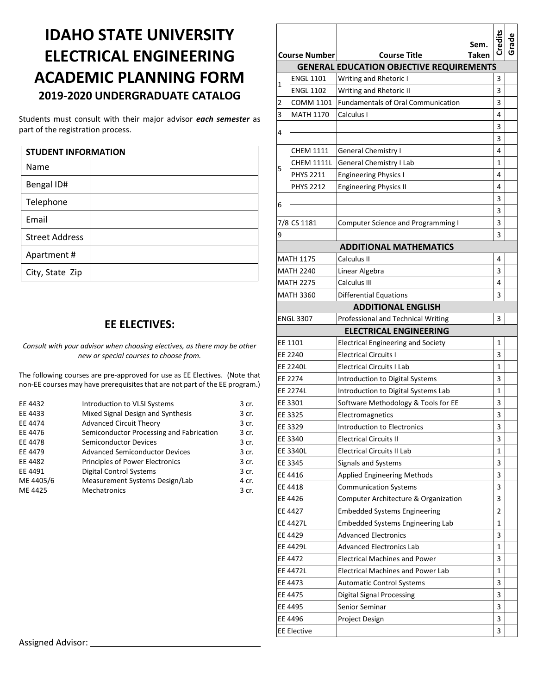## **IDAHO STATE UNIVERSITY ELECTRICAL ENGINEERING ACADEMIC PLANNING FORM 2019-2020 UNDERGRADUATE CATALOG**

Students must consult with their major advisor *each semester* as part of the registration process.

| <b>STUDENT INFORMATION</b> |  |
|----------------------------|--|
| Name                       |  |
| Bengal ID#                 |  |
| Telephone                  |  |
| Email                      |  |
| <b>Street Address</b>      |  |
| Apartment#                 |  |
| City, State Zip            |  |

## **EE ELECTIVES:**

*Consult with your advisor when choosing electives, as there may be other new or special courses to choose from.*

The following courses are pre-approved for use as EE Electives. (Note that non-EE courses may have prerequisites that are not part of the EE program.)

| Introduction to VLSI Systems             | 3 cr. |
|------------------------------------------|-------|
| Mixed Signal Design and Synthesis        | 3 cr. |
| <b>Advanced Circuit Theory</b>           | 3 cr. |
| Semiconductor Processing and Fabrication | 3 cr. |
| <b>Semiconductor Devices</b>             | 3 cr. |
| <b>Advanced Semiconductor Devices</b>    | 3 cr. |
| <b>Principles of Power Electronics</b>   | 3 cr. |
| <b>Digital Control Systems</b>           | 3 cr. |
| Measurement Systems Design/Lab           | 4 cr. |
| <b>Mechatronics</b>                      | 3 cr. |
|                                          |       |

|                 |                                                             |                                                 | Sem. | Credits | Grade |  |  |  |
|-----------------|-------------------------------------------------------------|-------------------------------------------------|------|---------|-------|--|--|--|
|                 | <b>Taken</b><br><b>Course Number</b><br><b>Course Title</b> |                                                 |      |         |       |  |  |  |
|                 |                                                             | <b>GENERAL EDUCATION OBJECTIVE REQUIREMENTS</b> |      |         |       |  |  |  |
| 1               | <b>ENGL 1101</b>                                            | Writing and Rhetoric I                          |      | 3<br>3  |       |  |  |  |
|                 | <b>ENGL 1102</b>                                            | Writing and Rhetoric II                         |      |         |       |  |  |  |
| 2               | COMM 1101                                                   | <b>Fundamentals of Oral Communication</b>       |      | 3       |       |  |  |  |
| 3               | <b>MATH 1170</b>                                            | Calculus I                                      |      | 4       |       |  |  |  |
| 4               |                                                             |                                                 |      | 3       |       |  |  |  |
|                 |                                                             |                                                 |      | 3       |       |  |  |  |
| 5               | CHEM 1111                                                   | <b>General Chemistry I</b>                      |      | 4       |       |  |  |  |
|                 | <b>CHEM 1111L</b>                                           | General Chemistry I Lab                         |      | 1       |       |  |  |  |
|                 | <b>PHYS 2211</b>                                            | <b>Engineering Physics I</b>                    |      | 4       |       |  |  |  |
|                 | <b>PHYS 2212</b>                                            | <b>Engineering Physics II</b>                   |      | 4       |       |  |  |  |
| 6               |                                                             |                                                 |      | 3       |       |  |  |  |
|                 |                                                             |                                                 |      | 3       |       |  |  |  |
|                 | 7/8 CS 1181                                                 | <b>Computer Science and Programming I</b>       |      | 3       |       |  |  |  |
| 9               |                                                             |                                                 |      | 3       |       |  |  |  |
|                 |                                                             | <b>ADDITIONAL MATHEMATICS</b>                   |      |         |       |  |  |  |
|                 | <b>MATH 1175</b>                                            | Calculus II                                     |      | 4       |       |  |  |  |
|                 | <b>MATH 2240</b>                                            | Linear Algebra                                  |      | 3       |       |  |  |  |
|                 | <b>MATH 2275</b>                                            | Calculus III                                    |      | 4       |       |  |  |  |
|                 | <b>MATH 3360</b>                                            | <b>Differential Equations</b>                   |      | 3       |       |  |  |  |
|                 |                                                             | <b>ADDITIONAL ENGLISH</b>                       |      |         |       |  |  |  |
|                 | <b>ENGL 3307</b>                                            | Professional and Technical Writing              |      | 3       |       |  |  |  |
|                 |                                                             | <b>ELECTRICAL ENGINEERING</b>                   |      |         |       |  |  |  |
|                 | EE 1101                                                     | <b>Electrical Engineering and Society</b>       |      | 1       |       |  |  |  |
|                 | EE 2240                                                     | <b>Electrical Circuits I</b>                    |      | 3       |       |  |  |  |
| <b>EE 2240L</b> |                                                             | <b>Electrical Circuits I Lab</b>                |      | 1       |       |  |  |  |
|                 | EE 2274                                                     | Introduction to Digital Systems                 |      | 3       |       |  |  |  |
|                 | <b>EE 2274L</b>                                             | Introduction to Digital Systems Lab             |      | 1       |       |  |  |  |
|                 | EE 3301                                                     | Software Methodology & Tools for EE             |      | 3       |       |  |  |  |
|                 | EE 3325                                                     | Electromagnetics                                |      | 3       |       |  |  |  |
|                 | EE 3329                                                     | Introduction to Electronics                     |      | 3       |       |  |  |  |
|                 | EE 3340                                                     | <b>Electrical Circuits II</b>                   |      | 3       |       |  |  |  |
|                 | EE 3340L                                                    | <b>Electrical Circuits II Lab</b>               |      | 1       |       |  |  |  |
|                 | EE 3345                                                     | Signals and Systems                             |      | 3       |       |  |  |  |
|                 | EE 4416                                                     | <b>Applied Engineering Methods</b>              |      | 3       |       |  |  |  |
|                 | EE 4418                                                     | <b>Communication Systems</b>                    |      | 3       |       |  |  |  |
|                 | EE 4426                                                     | Computer Architecture & Organization            |      | 3       |       |  |  |  |
|                 | EE 4427                                                     | <b>Embedded Systems Engineering</b>             |      | 2       |       |  |  |  |
|                 | EE 4427L                                                    | <b>Embedded Systems Engineering Lab</b>         |      | 1       |       |  |  |  |
|                 | EE 4429                                                     | <b>Advanced Electronics</b>                     |      | 3       |       |  |  |  |
|                 | <b>EE 4429L</b>                                             | <b>Advanced Electronics Lab</b>                 |      | 1       |       |  |  |  |
|                 | EE 4472                                                     | <b>Electrical Machines and Power</b>            |      | 3       |       |  |  |  |
|                 | EE 4472L                                                    | <b>Electrical Machines and Power Lab</b>        |      | 1       |       |  |  |  |
|                 | EE 4473                                                     | <b>Automatic Control Systems</b>                |      | 3       |       |  |  |  |
|                 | EE 4475                                                     | <b>Digital Signal Processing</b>                |      | 3       |       |  |  |  |
|                 | EE 4495                                                     | Senior Seminar                                  |      | 3       |       |  |  |  |
| EE 4496         |                                                             | Project Design                                  |      | 3       |       |  |  |  |
|                 | <b>EE Elective</b>                                          |                                                 |      | 3       |       |  |  |  |
|                 |                                                             |                                                 |      |         |       |  |  |  |